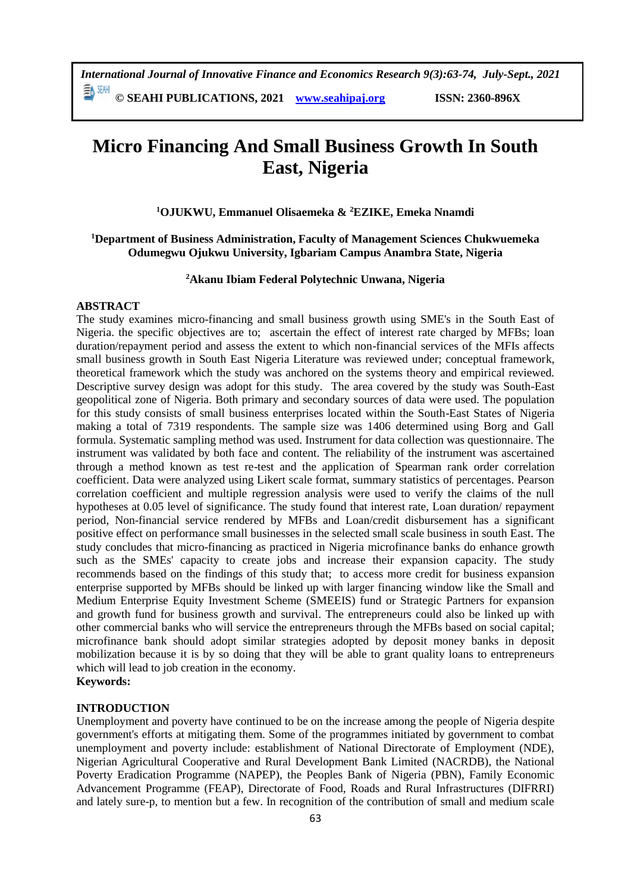**© SEAHI PUBLICATIONS, 2021 [www.seahipaj.org](http://www.seahipaj.org/) ISSN: 2360-896X**

# **Micro Financing And Small Business Growth In South East, Nigeria**

**<sup>1</sup>OJUKWU, Emmanuel Olisaemeka & <sup>2</sup>EZIKE, Emeka Nnamdi** 

**<sup>1</sup>Department of Business Administration, Faculty of Management Sciences Chukwuemeka Odumegwu Ojukwu University, Igbariam Campus Anambra State, Nigeria** 

**<sup>2</sup>Akanu Ibiam Federal Polytechnic Unwana, Nigeria**

#### **ABSTRACT**

The study examines micro-financing and small business growth using SME's in the South East of Nigeria. the specific objectives are to; ascertain the effect of interest rate charged by MFBs; loan duration/repayment period and assess the extent to which non-financial services of the MFIs affects small business growth in South East Nigeria Literature was reviewed under; conceptual framework, theoretical framework which the study was anchored on the systems theory and empirical reviewed. Descriptive survey design was adopt for this study. The area covered by the study was South-East geopolitical zone of Nigeria. Both primary and secondary sources of data were used. The population for this study consists of small business enterprises located within the South-East States of Nigeria making a total of 7319 respondents. The sample size was 1406 determined using Borg and Gall formula. Systematic sampling method was used. Instrument for data collection was questionnaire. The instrument was validated by both face and content. The reliability of the instrument was ascertained through a method known as test re-test and the application of Spearman rank order correlation coefficient. Data were analyzed using Likert scale format, summary statistics of percentages. Pearson correlation coefficient and multiple regression analysis were used to verify the claims of the null hypotheses at 0.05 level of significance. The study found that interest rate, Loan duration/ repayment period, Non-financial service rendered by MFBs and Loan/credit disbursement has a significant positive effect on performance small businesses in the selected small scale business in south East. The study concludes that micro-financing as practiced in Nigeria microfinance banks do enhance growth such as the SMEs' capacity to create jobs and increase their expansion capacity. The study recommends based on the findings of this study that; to access more credit for business expansion enterprise supported by MFBs should be linked up with larger financing window like the Small and Medium Enterprise Equity Investment Scheme (SMEEIS) fund or Strategic Partners for expansion and growth fund for business growth and survival. The entrepreneurs could also be linked up with other commercial banks who will service the entrepreneurs through the MFBs based on social capital; microfinance bank should adopt similar strategies adopted by deposit money banks in deposit mobilization because it is by so doing that they will be able to grant quality loans to entrepreneurs which will lead to job creation in the economy.

# **Keywords:**

#### **INTRODUCTION**

Unemployment and poverty have continued to be on the increase among the people of Nigeria despite government's efforts at mitigating them. Some of the programmes initiated by government to combat unemployment and poverty include: establishment of National Directorate of Employment (NDE), Nigerian Agricultural Cooperative and Rural Development Bank Limited (NACRDB), the National Poverty Eradication Programme (NAPEP), the Peoples Bank of Nigeria (PBN), Family Economic Advancement Programme (FEAP), Directorate of Food, Roads and Rural Infrastructures (DIFRRI) and lately sure-p, to mention but a few. In recognition of the contribution of small and medium scale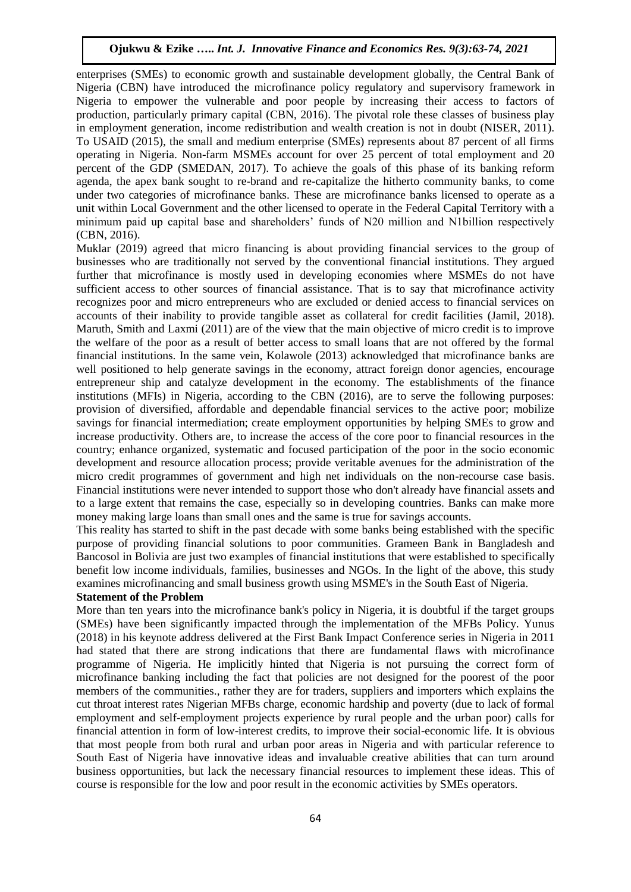enterprises (SMEs) to economic growth and sustainable development globally, the Central Bank of Nigeria (CBN) have introduced the microfinance policy regulatory and supervisory framework in Nigeria to empower the vulnerable and poor people by increasing their access to factors of production, particularly primary capital (CBN, 2016). The pivotal role these classes of business play in employment generation, income redistribution and wealth creation is not in doubt (NISER, 2011). To USAID (2015), the small and medium enterprise (SMEs) represents about 87 percent of all firms operating in Nigeria. Non-farm MSMEs account for over 25 percent of total employment and 20 percent of the GDP (SMEDAN, 2017). To achieve the goals of this phase of its banking reform agenda, the apex bank sought to re-brand and re-capitalize the hitherto community banks, to come under two categories of microfinance banks. These are microfinance banks licensed to operate as a unit within Local Government and the other licensed to operate in the Federal Capital Territory with a minimum paid up capital base and shareholders' funds of N20 million and N1billion respectively (CBN, 2016).

Muklar (2019) agreed that micro financing is about providing financial services to the group of businesses who are traditionally not served by the conventional financial institutions. They argued further that microfinance is mostly used in developing economies where MSMEs do not have sufficient access to other sources of financial assistance. That is to say that microfinance activity recognizes poor and micro entrepreneurs who are excluded or denied access to financial services on accounts of their inability to provide tangible asset as collateral for credit facilities (Jamil, 2018). Maruth, Smith and Laxmi (2011) are of the view that the main objective of micro credit is to improve the welfare of the poor as a result of better access to small loans that are not offered by the formal financial institutions. In the same vein, Kolawole (2013) acknowledged that microfinance banks are well positioned to help generate savings in the economy, attract foreign donor agencies, encourage entrepreneur ship and catalyze development in the economy. The establishments of the finance institutions (MFIs) in Nigeria, according to the CBN (2016), are to serve the following purposes: provision of diversified, affordable and dependable financial services to the active poor; mobilize savings for financial intermediation; create employment opportunities by helping SMEs to grow and increase productivity. Others are, to increase the access of the core poor to financial resources in the country; enhance organized, systematic and focused participation of the poor in the socio economic development and resource allocation process; provide veritable avenues for the administration of the micro credit programmes of government and high net individuals on the non-recourse case basis. Financial institutions were never intended to support those who don't already have financial assets and to a large extent that remains the case, especially so in developing countries. Banks can make more money making large loans than small ones and the same is true for savings accounts.

This reality has started to shift in the past decade with some banks being established with the specific purpose of providing financial solutions to poor communities. Grameen Bank in Bangladesh and Bancosol in Bolivia are just two examples of financial institutions that were established to specifically benefit low income individuals, families, businesses and NGOs. In the light of the above, this study examines microfinancing and small business growth using MSME's in the South East of Nigeria.

# **Statement of the Problem**

More than ten years into the microfinance bank's policy in Nigeria, it is doubtful if the target groups (SMEs) have been significantly impacted through the implementation of the MFBs Policy. Yunus (2018) in his keynote address delivered at the First Bank Impact Conference series in Nigeria in 2011 had stated that there are strong indications that there are fundamental flaws with microfinance programme of Nigeria. He implicitly hinted that Nigeria is not pursuing the correct form of microfinance banking including the fact that policies are not designed for the poorest of the poor members of the communities., rather they are for traders, suppliers and importers which explains the cut throat interest rates Nigerian MFBs charge, economic hardship and poverty (due to lack of formal employment and self-employment projects experience by rural people and the urban poor) calls for financial attention in form of low-interest credits, to improve their social-economic life. It is obvious that most people from both rural and urban poor areas in Nigeria and with particular reference to South East of Nigeria have innovative ideas and invaluable creative abilities that can turn around business opportunities, but lack the necessary financial resources to implement these ideas. This of course is responsible for the low and poor result in the economic activities by SMEs operators.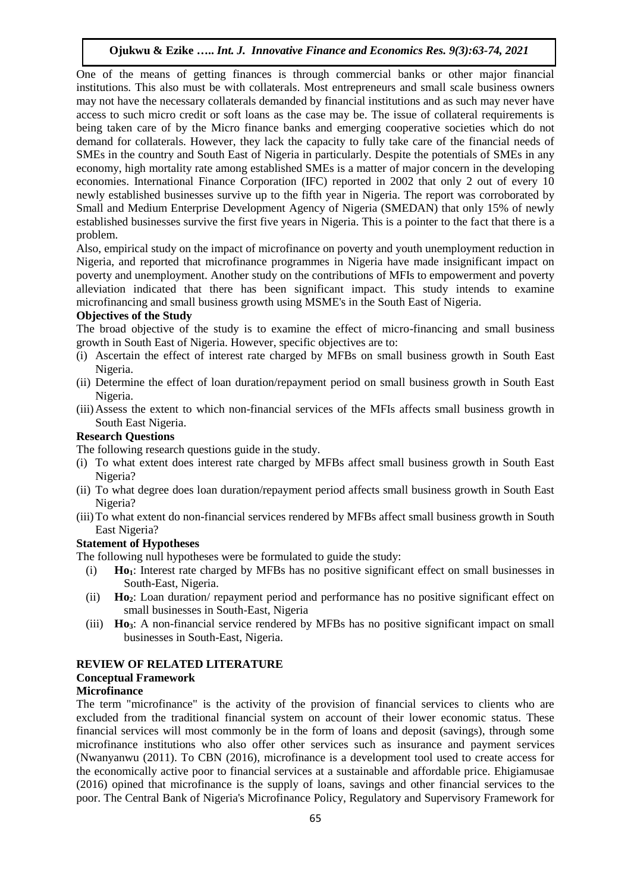One of the means of getting finances is through commercial banks or other major financial institutions. This also must be with collaterals. Most entrepreneurs and small scale business owners may not have the necessary collaterals demanded by financial institutions and as such may never have access to such micro credit or soft loans as the case may be. The issue of collateral requirements is being taken care of by the Micro finance banks and emerging cooperative societies which do not demand for collaterals. However, they lack the capacity to fully take care of the financial needs of SMEs in the country and South East of Nigeria in particularly. Despite the potentials of SMEs in any economy, high mortality rate among established SMEs is a matter of major concern in the developing economies. International Finance Corporation (IFC) reported in 2002 that only 2 out of every 10 newly established businesses survive up to the fifth year in Nigeria. The report was corroborated by Small and Medium Enterprise Development Agency of Nigeria (SMEDAN) that only 15% of newly established businesses survive the first five years in Nigeria. This is a pointer to the fact that there is a problem.

Also, empirical study on the impact of microfinance on poverty and youth unemployment reduction in Nigeria, and reported that microfinance programmes in Nigeria have made insignificant impact on poverty and unemployment. Another study on the contributions of MFIs to empowerment and poverty alleviation indicated that there has been significant impact. This study intends to examine microfinancing and small business growth using MSME's in the South East of Nigeria.

#### **Objectives of the Study**

The broad objective of the study is to examine the effect of micro-financing and small business growth in South East of Nigeria. However, specific objectives are to:

- (i) Ascertain the effect of interest rate charged by MFBs on small business growth in South East Nigeria.
- (ii) Determine the effect of loan duration/repayment period on small business growth in South East Nigeria.
- (iii)Assess the extent to which non-financial services of the MFIs affects small business growth in South East Nigeria.

# **Research Questions**

The following research questions guide in the study.

- (i) To what extent does interest rate charged by MFBs affect small business growth in South East Nigeria?
- (ii) To what degree does loan duration/repayment period affects small business growth in South East Nigeria?
- (iii)To what extent do non-financial services rendered by MFBs affect small business growth in South East Nigeria?

# **Statement of Hypotheses**

The following null hypotheses were be formulated to guide the study:

- (i) **Ho1**: Interest rate charged by MFBs has no positive significant effect on small businesses in South-East, Nigeria.
- (ii) **Ho2**: Loan duration/ repayment period and performance has no positive significant effect on small businesses in South-East, Nigeria
- (iii) **Ho3**: A non-financial service rendered by MFBs has no positive significant impact on small businesses in South-East, Nigeria.

#### **REVIEW OF RELATED LITERATURE**

# **Conceptual Framework**

# **Microfinance**

The term "microfinance" is the activity of the provision of financial services to clients who are excluded from the traditional financial system on account of their lower economic status. These financial services will most commonly be in the form of loans and deposit (savings), through some microfinance institutions who also offer other services such as insurance and payment services (Nwanyanwu (2011). To CBN (2016), microfinance is a development tool used to create access for the economically active poor to financial services at a sustainable and affordable price. Ehigiamusae (2016) opined that microfinance is the supply of loans, savings and other financial services to the poor. The Central Bank of Nigeria's Microfinance Policy, Regulatory and Supervisory Framework for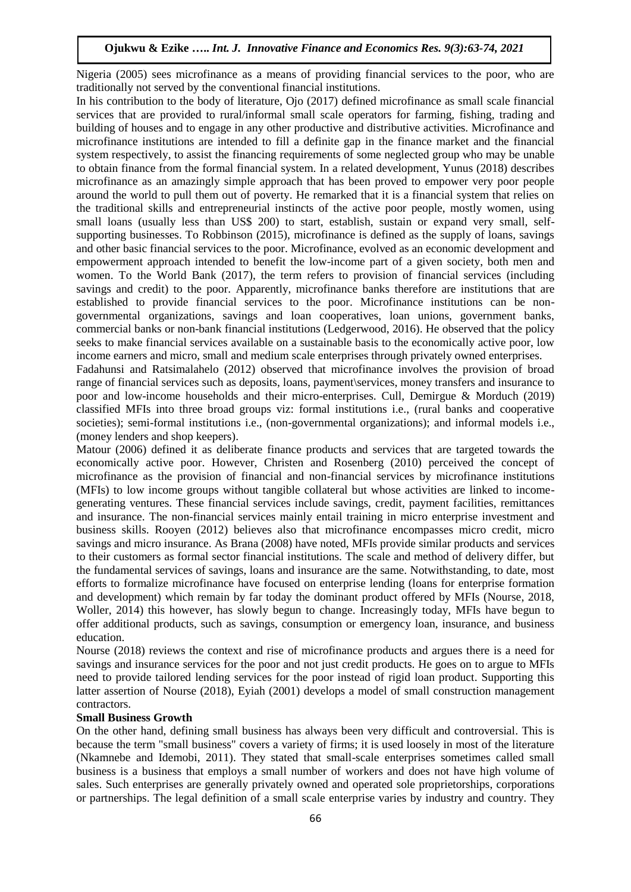Nigeria (2005) sees microfinance as a means of providing financial services to the poor, who are traditionally not served by the conventional financial institutions.

In his contribution to the body of literature, Ojo (2017) defined microfinance as small scale financial services that are provided to rural/informal small scale operators for farming, fishing, trading and building of houses and to engage in any other productive and distributive activities. Microfinance and microfinance institutions are intended to fill a definite gap in the finance market and the financial system respectively, to assist the financing requirements of some neglected group who may be unable to obtain finance from the formal financial system. In a related development, Yunus (2018) describes microfinance as an amazingly simple approach that has been proved to empower very poor people around the world to pull them out of poverty. He remarked that it is a financial system that relies on the traditional skills and entrepreneurial instincts of the active poor people, mostly women, using small loans (usually less than US\$ 200) to start, establish, sustain or expand very small, selfsupporting businesses. To Robbinson (2015), microfinance is defined as the supply of loans, savings and other basic financial services to the poor. Microfinance, evolved as an economic development and empowerment approach intended to benefit the low-income part of a given society, both men and women. To the World Bank (2017), the term refers to provision of financial services (including savings and credit) to the poor. Apparently, microfinance banks therefore are institutions that are established to provide financial services to the poor. Microfinance institutions can be nongovernmental organizations, savings and loan cooperatives, loan unions, government banks, commercial banks or non-bank financial institutions (Ledgerwood, 2016). He observed that the policy seeks to make financial services available on a sustainable basis to the economically active poor, low income earners and micro, small and medium scale enterprises through privately owned enterprises.

Fadahunsi and Ratsimalahelo (2012) observed that microfinance involves the provision of broad range of financial services such as deposits, loans, payment\services, money transfers and insurance to poor and low-income households and their micro-enterprises. Cull, Demirgue & Morduch (2019) classified MFIs into three broad groups viz: formal institutions i.e., (rural banks and cooperative societies); semi-formal institutions i.e., (non-governmental organizations); and informal models i.e., (money lenders and shop keepers).

Matour (2006) defined it as deliberate finance products and services that are targeted towards the economically active poor. However, Christen and Rosenberg (2010) perceived the concept of microfinance as the provision of financial and non-financial services by microfinance institutions (MFIs) to low income groups without tangible collateral but whose activities are linked to incomegenerating ventures. These financial services include savings, credit, payment facilities, remittances and insurance. The non-financial services mainly entail training in micro enterprise investment and business skills. Rooyen (2012) believes also that microfinance encompasses micro credit, micro savings and micro insurance. As Brana (2008) have noted, MFIs provide similar products and services to their customers as formal sector financial institutions. The scale and method of delivery differ, but the fundamental services of savings, loans and insurance are the same. Notwithstanding, to date, most efforts to formalize microfinance have focused on enterprise lending (loans for enterprise formation and development) which remain by far today the dominant product offered by MFIs (Nourse, 2018, Woller, 2014) this however, has slowly begun to change. Increasingly today, MFIs have begun to offer additional products, such as savings, consumption or emergency loan, insurance, and business education.

Nourse (2018) reviews the context and rise of microfinance products and argues there is a need for savings and insurance services for the poor and not just credit products. He goes on to argue to MFIs need to provide tailored lending services for the poor instead of rigid loan product. Supporting this latter assertion of Nourse (2018), Eyiah (2001) develops a model of small construction management contractors.

#### **Small Business Growth**

On the other hand, defining small business has always been very difficult and controversial. This is because the term "small business" covers a variety of firms; it is used loosely in most of the literature (Nkamnebe and Idemobi, 2011). They stated that small-scale enterprises sometimes called small business is a business that employs a small number of workers and does not have high volume of sales. Such enterprises are generally privately owned and operated sole proprietorships, corporations or partnerships. The legal definition of a small scale enterprise varies by industry and country. They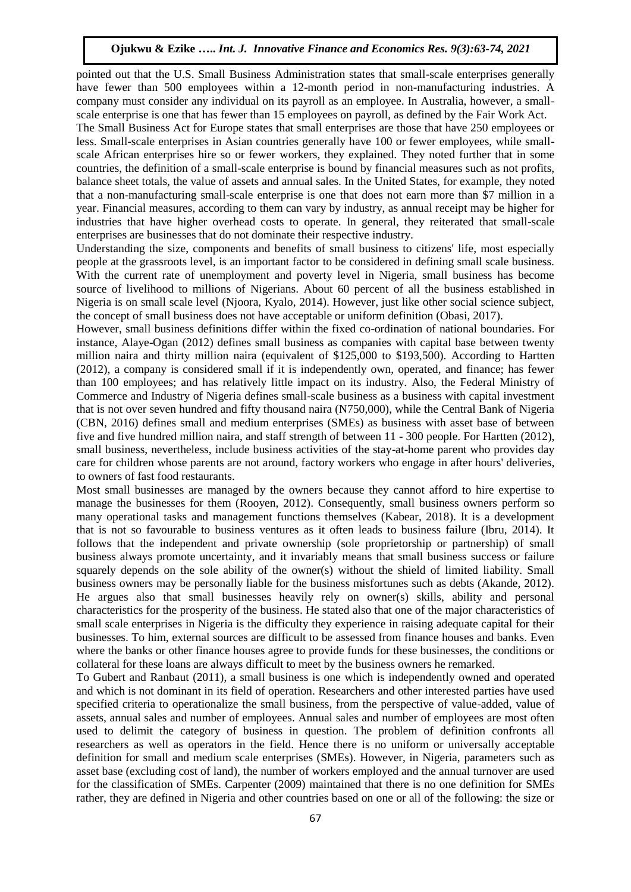pointed out that the U.S. Small Business Administration states that small-scale enterprises generally have fewer than 500 employees within a 12-month period in non-manufacturing industries. A company must consider any individual on its payroll as an employee. In Australia, however, a smallscale enterprise is one that has fewer than 15 employees on payroll, as defined by the Fair Work Act.

The Small Business Act for Europe states that small enterprises are those that have 250 employees or less. Small-scale enterprises in Asian countries generally have 100 or fewer employees, while smallscale African enterprises hire so or fewer workers, they explained. They noted further that in some countries, the definition of a small-scale enterprise is bound by financial measures such as not profits, balance sheet totals, the value of assets and annual sales. In the United States, for example, they noted that a non-manufacturing small-scale enterprise is one that does not earn more than \$7 million in a year. Financial measures, according to them can vary by industry, as annual receipt may be higher for industries that have higher overhead costs to operate. In general, they reiterated that small-scale enterprises are businesses that do not dominate their respective industry.

Understanding the size, components and benefits of small business to citizens' life, most especially people at the grassroots level, is an important factor to be considered in defining small scale business. With the current rate of unemployment and poverty level in Nigeria, small business has become source of livelihood to millions of Nigerians. About 60 percent of all the business established in Nigeria is on small scale level (Njoora, Kyalo, 2014). However, just like other social science subject, the concept of small business does not have acceptable or uniform definition (Obasi, 2017).

However, small business definitions differ within the fixed co-ordination of national boundaries. For instance, Alaye-Ogan (2012) defines small business as companies with capital base between twenty million naira and thirty million naira (equivalent of \$125,000 to \$193,500). According to Hartten (2012), a company is considered small if it is independently own, operated, and finance; has fewer than 100 employees; and has relatively little impact on its industry. Also, the Federal Ministry of Commerce and Industry of Nigeria defines small-scale business as a business with capital investment that is not over seven hundred and fifty thousand naira (N750,000), while the Central Bank of Nigeria (CBN, 2016) defines small and medium enterprises (SMEs) as business with asset base of between five and five hundred million naira, and staff strength of between 11 - 300 people. For Hartten (2012), small business, nevertheless, include business activities of the stay-at-home parent who provides day care for children whose parents are not around, factory workers who engage in after hours' deliveries, to owners of fast food restaurants.

Most small businesses are managed by the owners because they cannot afford to hire expertise to manage the businesses for them (Rooyen, 2012). Consequently, small business owners perform so many operational tasks and management functions themselves (Kabear, 2018). It is a development that is not so favourable to business ventures as it often leads to business failure (Ibru, 2014). It follows that the independent and private ownership (sole proprietorship or partnership) of small business always promote uncertainty, and it invariably means that small business success or failure squarely depends on the sole ability of the owner(s) without the shield of limited liability. Small business owners may be personally liable for the business misfortunes such as debts (Akande, 2012). He argues also that small businesses heavily rely on owner(s) skills, ability and personal characteristics for the prosperity of the business. He stated also that one of the major characteristics of small scale enterprises in Nigeria is the difficulty they experience in raising adequate capital for their businesses. To him, external sources are difficult to be assessed from finance houses and banks. Even where the banks or other finance houses agree to provide funds for these businesses, the conditions or collateral for these loans are always difficult to meet by the business owners he remarked.

To Gubert and Ranbaut (2011), a small business is one which is independently owned and operated and which is not dominant in its field of operation. Researchers and other interested parties have used specified criteria to operationalize the small business, from the perspective of value-added, value of assets, annual sales and number of employees. Annual sales and number of employees are most often used to delimit the category of business in question. The problem of definition confronts all researchers as well as operators in the field. Hence there is no uniform or universally acceptable definition for small and medium scale enterprises (SMEs). However, in Nigeria, parameters such as asset base (excluding cost of land), the number of workers employed and the annual turnover are used for the classification of SMEs. Carpenter (2009) maintained that there is no one definition for SMEs rather, they are defined in Nigeria and other countries based on one or all of the following: the size or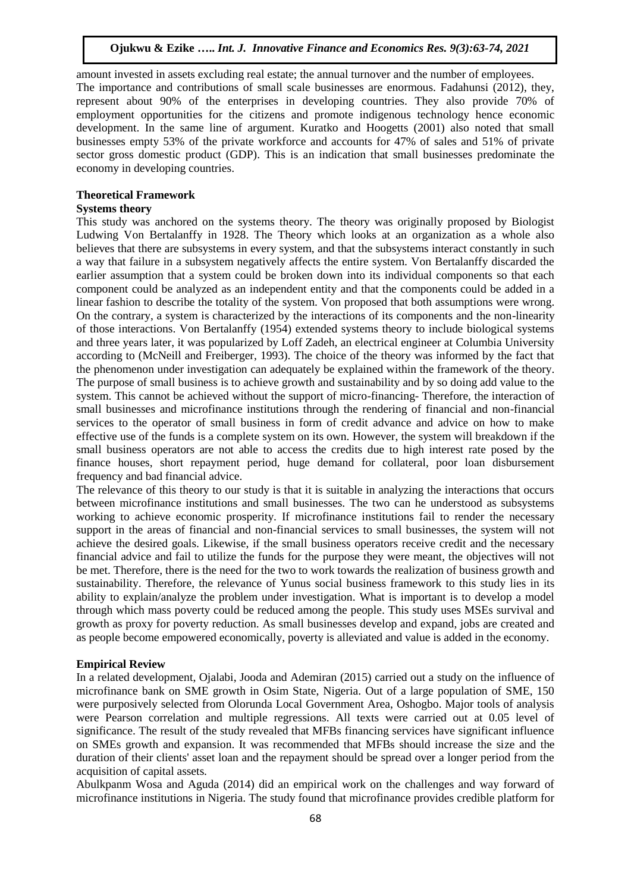amount invested in assets excluding real estate; the annual turnover and the number of employees. The importance and contributions of small scale businesses are enormous. Fadahunsi (2012), they, represent about 90% of the enterprises in developing countries. They also provide 70% of employment opportunities for the citizens and promote indigenous technology hence economic development. In the same line of argument. Kuratko and Hoogetts (2001) also noted that small businesses empty 53% of the private workforce and accounts for 47% of sales and 51% of private sector gross domestic product (GDP). This is an indication that small businesses predominate the economy in developing countries.

#### **Theoretical Framework**

#### **Systems theory**

This study was anchored on the systems theory. The theory was originally proposed by Biologist Ludwing Von Bertalanffy in 1928. The Theory which looks at an organization as a whole also believes that there are subsystems in every system, and that the subsystems interact constantly in such a way that failure in a subsystem negatively affects the entire system. Von Bertalanffy discarded the earlier assumption that a system could be broken down into its individual components so that each component could be analyzed as an independent entity and that the components could be added in a linear fashion to describe the totality of the system. Von proposed that both assumptions were wrong. On the contrary, a system is characterized by the interactions of its components and the non-linearity of those interactions. Von Bertalanffy (1954) extended systems theory to include biological systems and three years later, it was popularized by Loff Zadeh, an electrical engineer at Columbia University according to (McNeill and Freiberger, 1993). The choice of the theory was informed by the fact that the phenomenon under investigation can adequately be explained within the framework of the theory. The purpose of small business is to achieve growth and sustainability and by so doing add value to the system. This cannot be achieved without the support of micro-financing- Therefore, the interaction of small businesses and microfinance institutions through the rendering of financial and non-financial services to the operator of small business in form of credit advance and advice on how to make effective use of the funds is a complete system on its own. However, the system will breakdown if the small business operators are not able to access the credits due to high interest rate posed by the finance houses, short repayment period, huge demand for collateral, poor loan disbursement frequency and bad financial advice.

The relevance of this theory to our study is that it is suitable in analyzing the interactions that occurs between microfinance institutions and small businesses. The two can he understood as subsystems working to achieve economic prosperity. If microfinance institutions fail to render the necessary support in the areas of financial and non-financial services to small businesses, the system will not achieve the desired goals. Likewise, if the small business operators receive credit and the necessary financial advice and fail to utilize the funds for the purpose they were meant, the objectives will not be met. Therefore, there is the need for the two to work towards the realization of business growth and sustainability. Therefore, the relevance of Yunus social business framework to this study lies in its ability to explain/analyze the problem under investigation. What is important is to develop a model through which mass poverty could be reduced among the people. This study uses MSEs survival and growth as proxy for poverty reduction. As small businesses develop and expand, jobs are created and as people become empowered economically, poverty is alleviated and value is added in the economy.

#### **Empirical Review**

In a related development, Ojalabi, Jooda and Ademiran (2015) carried out a study on the influence of microfinance bank on SME growth in Osim State, Nigeria. Out of a large population of SME, 150 were purposively selected from Olorunda Local Government Area, Oshogbo. Major tools of analysis were Pearson correlation and multiple regressions. All texts were carried out at 0.05 level of significance. The result of the study revealed that MFBs financing services have significant influence on SMEs growth and expansion. It was recommended that MFBs should increase the size and the duration of their clients' asset loan and the repayment should be spread over a longer period from the acquisition of capital assets.

Abulkpanm Wosa and Aguda (2014) did an empirical work on the challenges and way forward of microfinance institutions in Nigeria. The study found that microfinance provides credible platform for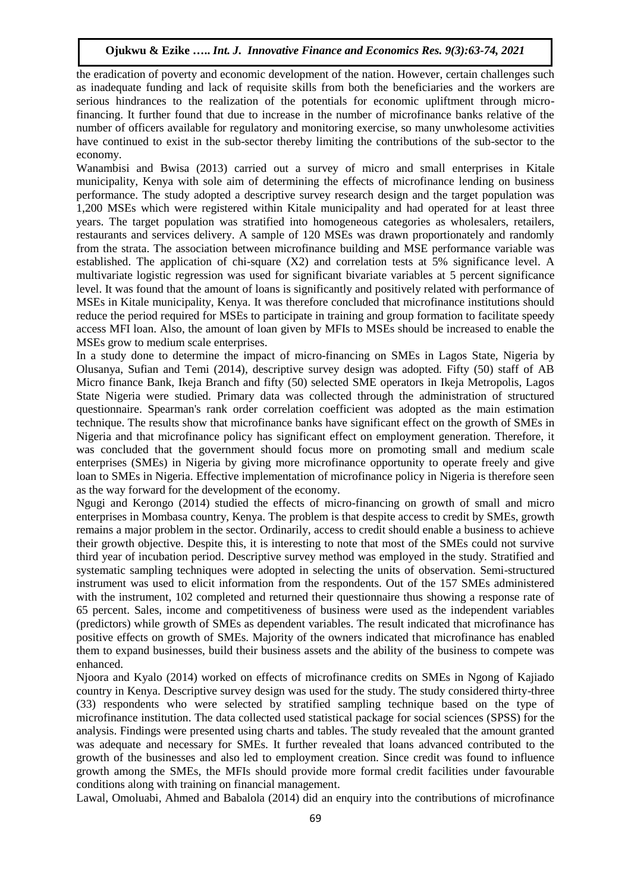the eradication of poverty and economic development of the nation. However, certain challenges such as inadequate funding and lack of requisite skills from both the beneficiaries and the workers are serious hindrances to the realization of the potentials for economic upliftment through microfinancing. It further found that due to increase in the number of microfinance banks relative of the number of officers available for regulatory and monitoring exercise, so many unwholesome activities have continued to exist in the sub-sector thereby limiting the contributions of the sub-sector to the economy.

Wanambisi and Bwisa (2013) carried out a survey of micro and small enterprises in Kitale municipality, Kenya with sole aim of determining the effects of microfinance lending on business performance. The study adopted a descriptive survey research design and the target population was 1,200 MSEs which were registered within Kitale municipality and had operated for at least three years. The target population was stratified into homogeneous categories as wholesalers, retailers, restaurants and services delivery. A sample of 120 MSEs was drawn proportionately and randomly from the strata. The association between microfinance building and MSE performance variable was established. The application of chi-square (X2) and correlation tests at 5% significance level. A multivariate logistic regression was used for significant bivariate variables at 5 percent significance level. It was found that the amount of loans is significantly and positively related with performance of MSEs in Kitale municipality, Kenya. It was therefore concluded that microfinance institutions should reduce the period required for MSEs to participate in training and group formation to facilitate speedy access MFI loan. Also, the amount of loan given by MFIs to MSEs should be increased to enable the MSEs grow to medium scale enterprises.

In a study done to determine the impact of micro-financing on SMEs in Lagos State, Nigeria by Olusanya, Sufian and Temi (2014), descriptive survey design was adopted. Fifty (50) staff of AB Micro finance Bank, Ikeja Branch and fifty (50) selected SME operators in Ikeja Metropolis, Lagos State Nigeria were studied. Primary data was collected through the administration of structured questionnaire. Spearman's rank order correlation coefficient was adopted as the main estimation technique. The results show that microfinance banks have significant effect on the growth of SMEs in Nigeria and that microfinance policy has significant effect on employment generation. Therefore, it was concluded that the government should focus more on promoting small and medium scale enterprises (SMEs) in Nigeria by giving more microfinance opportunity to operate freely and give loan to SMEs in Nigeria. Effective implementation of microfinance policy in Nigeria is therefore seen as the way forward for the development of the economy.

Ngugi and Kerongo (2014) studied the effects of micro-financing on growth of small and micro enterprises in Mombasa country, Kenya. The problem is that despite access to credit by SMEs, growth remains a major problem in the sector. Ordinarily, access to credit should enable a business to achieve their growth objective. Despite this, it is interesting to note that most of the SMEs could not survive third year of incubation period. Descriptive survey method was employed in the study. Stratified and systematic sampling techniques were adopted in selecting the units of observation. Semi-structured instrument was used to elicit information from the respondents. Out of the 157 SMEs administered with the instrument, 102 completed and returned their questionnaire thus showing a response rate of 65 percent. Sales, income and competitiveness of business were used as the independent variables (predictors) while growth of SMEs as dependent variables. The result indicated that microfinance has positive effects on growth of SMEs. Majority of the owners indicated that microfinance has enabled them to expand businesses, build their business assets and the ability of the business to compete was enhanced.

Njoora and Kyalo (2014) worked on effects of microfinance credits on SMEs in Ngong of Kajiado country in Kenya. Descriptive survey design was used for the study. The study considered thirty-three (33) respondents who were selected by stratified sampling technique based on the type of microfinance institution. The data collected used statistical package for social sciences (SPSS) for the analysis. Findings were presented using charts and tables. The study revealed that the amount granted was adequate and necessary for SMEs. It further revealed that loans advanced contributed to the growth of the businesses and also led to employment creation. Since credit was found to influence growth among the SMEs, the MFIs should provide more formal credit facilities under favourable conditions along with training on financial management.

Lawal, Omoluabi, Ahmed and Babalola (2014) did an enquiry into the contributions of microfinance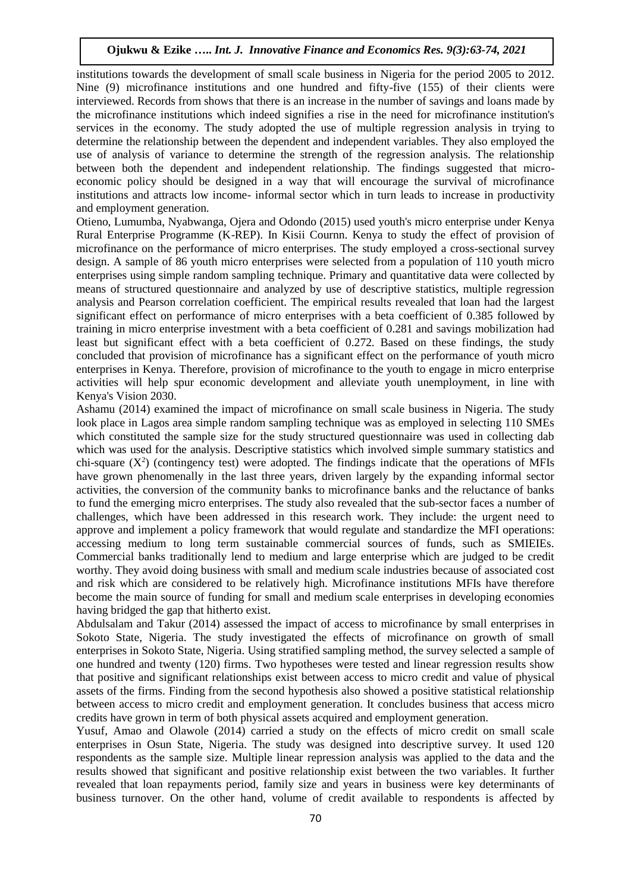institutions towards the development of small scale business in Nigeria for the period 2005 to 2012. Nine (9) microfinance institutions and one hundred and fifty-five (155) of their clients were interviewed. Records from shows that there is an increase in the number of savings and loans made by the microfinance institutions which indeed signifies a rise in the need for microfinance institution's services in the economy. The study adopted the use of multiple regression analysis in trying to determine the relationship between the dependent and independent variables. They also employed the use of analysis of variance to determine the strength of the regression analysis. The relationship between both the dependent and independent relationship. The findings suggested that microeconomic policy should be designed in a way that will encourage the survival of microfinance institutions and attracts low income- informal sector which in turn leads to increase in productivity and employment generation.

Otieno, Lumumba, Nyabwanga, Ojera and Odondo (2015) used youth's micro enterprise under Kenya Rural Enterprise Programme (K-REP). In Kisii Cournn. Kenya to study the effect of provision of microfinance on the performance of micro enterprises. The study employed a cross-sectional survey design. A sample of 86 youth micro enterprises were selected from a population of 110 youth micro enterprises using simple random sampling technique. Primary and quantitative data were collected by means of structured questionnaire and analyzed by use of descriptive statistics, multiple regression analysis and Pearson correlation coefficient. The empirical results revealed that loan had the largest significant effect on performance of micro enterprises with a beta coefficient of 0.385 followed by training in micro enterprise investment with a beta coefficient of 0.281 and savings mobilization had least but significant effect with a beta coefficient of 0.272. Based on these findings, the study concluded that provision of microfinance has a significant effect on the performance of youth micro enterprises in Kenya. Therefore, provision of microfinance to the youth to engage in micro enterprise activities will help spur economic development and alleviate youth unemployment, in line with Kenya's Vision 2030.

Ashamu (2014) examined the impact of microfinance on small scale business in Nigeria. The study look place in Lagos area simple random sampling technique was as employed in selecting 110 SMEs which constituted the sample size for the study structured questionnaire was used in collecting dab which was used for the analysis. Descriptive statistics which involved simple summary statistics and chi-square  $(X^2)$  (contingency test) were adopted. The findings indicate that the operations of MFIs have grown phenomenally in the last three years, driven largely by the expanding informal sector activities, the conversion of the community banks to microfinance banks and the reluctance of banks to fund the emerging micro enterprises. The study also revealed that the sub-sector faces a number of challenges, which have been addressed in this research work. They include: the urgent need to approve and implement a policy framework that would regulate and standardize the MFI operations: accessing medium to long term sustainable commercial sources of funds, such as SMIEIEs. Commercial banks traditionally lend to medium and large enterprise which are judged to be credit worthy. They avoid doing business with small and medium scale industries because of associated cost and risk which are considered to be relatively high. Microfinance institutions MFIs have therefore become the main source of funding for small and medium scale enterprises in developing economies having bridged the gap that hitherto exist.

Abdulsalam and Takur (2014) assessed the impact of access to microfinance by small enterprises in Sokoto State, Nigeria. The study investigated the effects of microfinance on growth of small enterprises in Sokoto State, Nigeria. Using stratified sampling method, the survey selected a sample of one hundred and twenty (120) firms. Two hypotheses were tested and linear regression results show that positive and significant relationships exist between access to micro credit and value of physical assets of the firms. Finding from the second hypothesis also showed a positive statistical relationship between access to micro credit and employment generation. It concludes business that access micro credits have grown in term of both physical assets acquired and employment generation.

Yusuf, Amao and Olawole (2014) carried a study on the effects of micro credit on small scale enterprises in Osun State, Nigeria. The study was designed into descriptive survey. It used 120 respondents as the sample size. Multiple linear repression analysis was applied to the data and the results showed that significant and positive relationship exist between the two variables. It further revealed that loan repayments period, family size and years in business were key determinants of business turnover. On the other hand, volume of credit available to respondents is affected by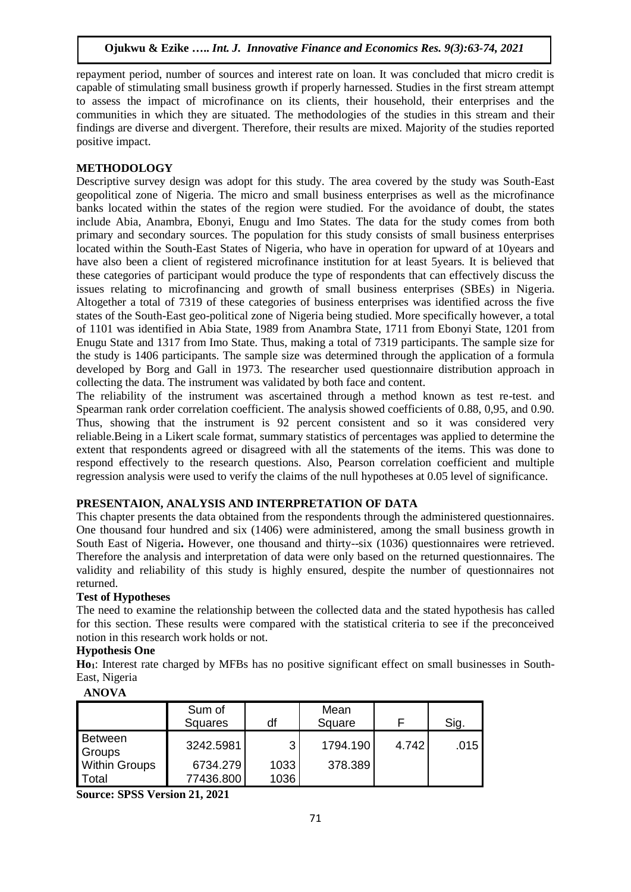repayment period, number of sources and interest rate on loan. It was concluded that micro credit is capable of stimulating small business growth if properly harnessed. Studies in the first stream attempt to assess the impact of microfinance on its clients, their household, their enterprises and the communities in which they are situated. The methodologies of the studies in this stream and their findings are diverse and divergent. Therefore, their results are mixed. Majority of the studies reported positive impact.

# **METHODOLOGY**

Descriptive survey design was adopt for this study. The area covered by the study was South-East geopolitical zone of Nigeria. The micro and small business enterprises as well as the microfinance banks located within the states of the region were studied. For the avoidance of doubt, the states include Abia, Anambra, Ebonyi, Enugu and Imo States. The data for the study comes from both primary and secondary sources. The population for this study consists of small business enterprises located within the South-East States of Nigeria, who have in operation for upward of at 10years and have also been a client of registered microfinance institution for at least 5years. It is believed that these categories of participant would produce the type of respondents that can effectively discuss the issues relating to microfinancing and growth of small business enterprises (SBEs) in Nigeria. Altogether a total of 7319 of these categories of business enterprises was identified across the five states of the South-East geo-political zone of Nigeria being studied. More specifically however, a total of 1101 was identified in Abia State, 1989 from Anambra State, 1711 from Ebonyi State, 1201 from Enugu State and 1317 from Imo State. Thus, making a total of 7319 participants. The sample size for the study is 1406 participants. The sample size was determined through the application of a formula developed by Borg and Gall in 1973. The researcher used questionnaire distribution approach in collecting the data. The instrument was validated by both face and content.

The reliability of the instrument was ascertained through a method known as test re-test. and Spearman rank order correlation coefficient. The analysis showed coefficients of 0.88, 0,95, and 0.90. Thus, showing that the instrument is 92 percent consistent and so it was considered very reliable.Being in a Likert scale format, summary statistics of percentages was applied to determine the extent that respondents agreed or disagreed with all the statements of the items. This was done to respond effectively to the research questions. Also, Pearson correlation coefficient and multiple regression analysis were used to verify the claims of the null hypotheses at 0.05 level of significance.

# **PRESENTAION, ANALYSIS AND INTERPRETATION OF DATA**

This chapter presents the data obtained from the respondents through the administered questionnaires. One thousand four hundred and six (1406) were administered, among the small business growth in South East of Nigeria**.** However, one thousand and thirty--six (1036) questionnaires were retrieved. Therefore the analysis and interpretation of data were only based on the returned questionnaires. The validity and reliability of this study is highly ensured, despite the number of questionnaires not returned.

# **Test of Hypotheses**

The need to examine the relationship between the collected data and the stated hypothesis has called for this section. These results were compared with the statistical criteria to see if the preconceived notion in this research work holds or not.

# **Hypothesis One**

**Ho1**: Interest rate charged by MFBs has no positive significant effect on small businesses in South-East, Nigeria

# **ANOVA**

|                      | Sum of<br><b>Squares</b> | df   | Mean<br>Square |       | Sig. |
|----------------------|--------------------------|------|----------------|-------|------|
| Between<br>Groups    | 3242.5981                | 3    | 1794.190       | 4.742 | .015 |
| <b>Within Groups</b> | 6734.279                 | 1033 | 378.389        |       |      |
| Total                | 77436.800                | 1036 |                |       |      |

**Source: SPSS Version 21, 2021**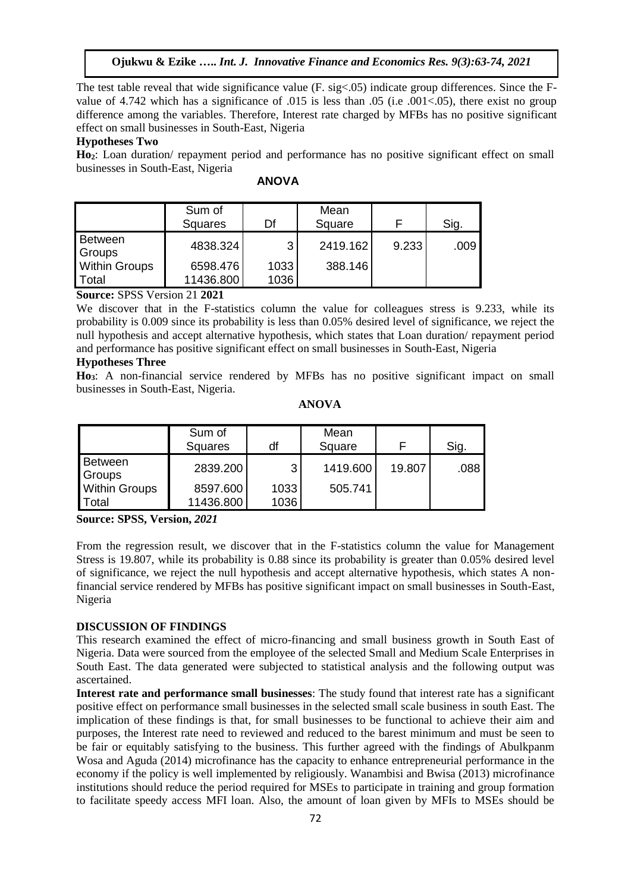The test table reveal that wide significance value (F. sig<.05) indicate group differences. Since the Fvalue of 4.742 which has a significance of .015 is less than .05 (i.e .001<.05), there exist no group difference among the variables. Therefore, Interest rate charged by MFBs has no positive significant effect on small businesses in South-East, Nigeria

#### **Hypotheses Two**

**Ho2**: Loan duration/ repayment period and performance has no positive significant effect on small businesses in South-East, Nigeria

|                          | Sum of<br><b>Squares</b> | Df   | Mean<br>Square |       | Sig. |
|--------------------------|--------------------------|------|----------------|-------|------|
| <b>Between</b><br>Groups | 4838.324                 | 3    | 2419.162       | 9.233 | .009 |
| <b>Within Groups</b>     | 6598.476                 | 1033 | 388.146        |       |      |
| Total                    | 11436.800                | 1036 |                |       |      |

**ANOVA**

**Source:** SPSS Version 21 **2021**

We discover that in the F-statistics column the value for colleagues stress is 9.233, while its probability is 0.009 since its probability is less than 0.05% desired level of significance, we reject the null hypothesis and accept alternative hypothesis, which states that Loan duration/ repayment period and performance has positive significant effect on small businesses in South-East, Nigeria

#### **Hypotheses Three**

**Ho3**: A non-financial service rendered by MFBs has no positive significant impact on small businesses in South-East, Nigeria.

| A | VC<br>۱I. | ١<br>۱ħ | ∖<br>۰ |
|---|-----------|---------|--------|
|   |           |         |        |

|                                 | Sum of<br><b>Squares</b> | df           | Mean<br>Square |        | Sig. |
|---------------------------------|--------------------------|--------------|----------------|--------|------|
| Between<br>Groups               | 2839.200                 | 3            | 1419.600       | 19.807 | .088 |
| <b>Within Groups</b><br>l Total | 8597.600<br>11436.800    | 1033<br>1036 | 505.741        |        |      |

**Source: SPSS, Version,** *2021*

From the regression result, we discover that in the F-statistics column the value for Management Stress is 19.807, while its probability is 0.88 since its probability is greater than 0.05% desired level of significance, we reject the null hypothesis and accept alternative hypothesis, which states A nonfinancial service rendered by MFBs has positive significant impact on small businesses in South-East, Nigeria

# **DISCUSSION OF FINDINGS**

This research examined the effect of micro-financing and small business growth in South East of Nigeria. Data were sourced from the employee of the selected Small and Medium Scale Enterprises in South East. The data generated were subjected to statistical analysis and the following output was ascertained.

**Interest rate and performance small businesses**: The study found that interest rate has a significant positive effect on performance small businesses in the selected small scale business in south East. The implication of these findings is that, for small businesses to be functional to achieve their aim and purposes, the Interest rate need to reviewed and reduced to the barest minimum and must be seen to be fair or equitably satisfying to the business. This further agreed with the findings of Abulkpanm Wosa and Aguda (2014) microfinance has the capacity to enhance entrepreneurial performance in the economy if the policy is well implemented by religiously. Wanambisi and Bwisa (2013) microfinance institutions should reduce the period required for MSEs to participate in training and group formation to facilitate speedy access MFI loan. Also, the amount of loan given by MFIs to MSEs should be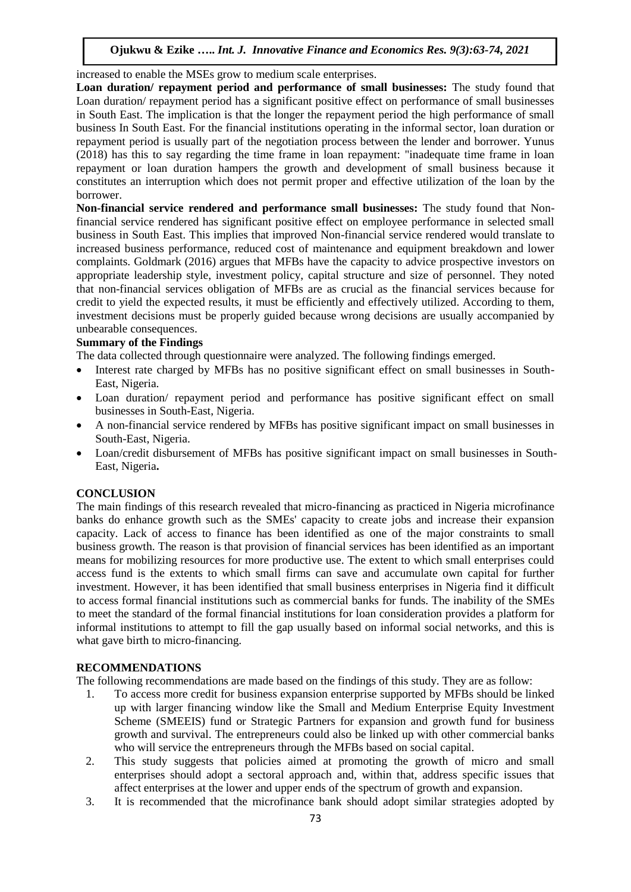increased to enable the MSEs grow to medium scale enterprises.

**Loan duration/ repayment period and performance of small businesses:** The study found that Loan duration/ repayment period has a significant positive effect on performance of small businesses in South East. The implication is that the longer the repayment period the high performance of small business In South East. For the financial institutions operating in the informal sector, loan duration or repayment period is usually part of the negotiation process between the lender and borrower. Yunus (2018) has this to say regarding the time frame in loan repayment: "inadequate time frame in loan repayment or loan duration hampers the growth and development of small business because it constitutes an interruption which does not permit proper and effective utilization of the loan by the borrower.

**Non-financial service rendered and performance small businesses:** The study found that Nonfinancial service rendered has significant positive effect on employee performance in selected small business in South East. This implies that improved Non-financial service rendered would translate to increased business performance, reduced cost of maintenance and equipment breakdown and lower complaints. Goldmark (2016) argues that MFBs have the capacity to advice prospective investors on appropriate leadership style, investment policy, capital structure and size of personnel. They noted that non-financial services obligation of MFBs are as crucial as the financial services because for credit to yield the expected results, it must be efficiently and effectively utilized. According to them, investment decisions must be properly guided because wrong decisions are usually accompanied by unbearable consequences.

# **Summary of the Findings**

The data collected through questionnaire were analyzed. The following findings emerged.

- Interest rate charged by MFBs has no positive significant effect on small businesses in South-East, Nigeria.
- Loan duration/ repayment period and performance has positive significant effect on small businesses in South-East, Nigeria.
- A non-financial service rendered by MFBs has positive significant impact on small businesses in South-East, Nigeria.
- Loan/credit disbursement of MFBs has positive significant impact on small businesses in South-East, Nigeria**.**

#### **CONCLUSION**

The main findings of this research revealed that micro-financing as practiced in Nigeria microfinance banks do enhance growth such as the SMEs' capacity to create jobs and increase their expansion capacity. Lack of access to finance has been identified as one of the major constraints to small business growth. The reason is that provision of financial services has been identified as an important means for mobilizing resources for more productive use. The extent to which small enterprises could access fund is the extents to which small firms can save and accumulate own capital for further investment. However, it has been identified that small business enterprises in Nigeria find it difficult to access formal financial institutions such as commercial banks for funds. The inability of the SMEs to meet the standard of the formal financial institutions for loan consideration provides a platform for informal institutions to attempt to fill the gap usually based on informal social networks, and this is what gave birth to micro-financing.

#### **RECOMMENDATIONS**

The following recommendations are made based on the findings of this study. They are as follow:

- 1. To access more credit for business expansion enterprise supported by MFBs should be linked up with larger financing window like the Small and Medium Enterprise Equity Investment Scheme (SMEEIS) fund or Strategic Partners for expansion and growth fund for business growth and survival. The entrepreneurs could also be linked up with other commercial banks who will service the entrepreneurs through the MFBs based on social capital.
- 2. This study suggests that policies aimed at promoting the growth of micro and small enterprises should adopt a sectoral approach and, within that, address specific issues that affect enterprises at the lower and upper ends of the spectrum of growth and expansion.
- 3. It is recommended that the microfinance bank should adopt similar strategies adopted by